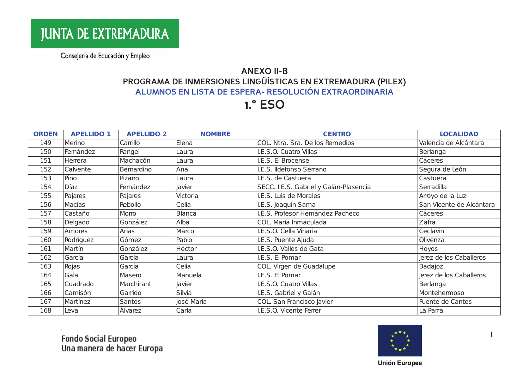## **ANEXO II-B** PROGRAMA DE INMERSIONES LINGÜÍSTICAS EN EXTREMADURA (PILEX) ALUMNOS EN LISTA DE ESPERA- RESOLUCIÓN EXTRAORDINARIA

**1.° ESO** 

| <b>ORDEN</b> | <b>APELLIDO 1</b> | <b>APELLIDO 2</b> | <b>NOMBRE</b> | <b>CENTRO</b>                          | <b>LOCALIDAD</b>         |
|--------------|-------------------|-------------------|---------------|----------------------------------------|--------------------------|
| 149          | Merino            | Carrillo          | Elena         | COL. Ntra. Sra. De los Remedios        | Valencia de Alcántara    |
| 150          | Femández          | Rangel            | Laura         | I.E.S.O. Cuatro Villas                 | Berlanga                 |
| 151          | Herrera           | Machacón          | Laura         | I.E.S. El Brocense                     | Cáceres                  |
| 152          | Calvente          | Bemardino         | Ana           | I.E.S. Ildefonso Serrano               | Segura de León           |
| 153          | Pino              | Pizarro           | Laura         | I.E.S. de Castuera                     | Castuera                 |
| 154          | Díaz              | Femández          | Javier        | SECC. I.E.S. Gabriel y Galán-Plasencia | Serradilla               |
| 155          | Pajares           | Pajares           | Victoria      | I.E.S. Luis de Morales                 | Arroyo de la Luz         |
| 156          | Macías            | Rebollo           | Celia         | I.E.S. Joaquín Sama                    | San Vicente de Alcántara |
| 157          | Castaño           | Morro             | Blanca        | I.E.S. Profesor Hemández Pacheco       | Cáceres                  |
| 158          | Delgado           | González          | Alba          | COL. María Inmaculada                  | Zafra                    |
| 159          | Amores            | Arias             | Marco         | I.E.S.O. Cella Vinaria                 | Ceclavin                 |
| 160          | Rodríguez         | Gómez             | Pablo         | I.E.S. Puente Ajuda                    | Olivenza                 |
| 161          | Martín            | González          | Héctor        | I.E.S.O. Valles de Gata                | Hoyos                    |
| 162          | García            | García            | Laura         | I.E.S. El Pomar                        | Jerez de los Caballeros  |
| 163          | Rojas             | García            | Celia         | COL. Virgen de Guadalupe               | Badajoz                  |
| 164          | Gala              | Masero            | Manuela       | I.E.S. El Pomar                        | Jerez de los Caballeros  |
| 165          | Cuadrado          | Marchirant        | Javier        | I.E.S.O. Cuatro Villas                 | Berlanga                 |
| 166          | Camisón           | Garrido           | Silvia        | I.E.S. Gabriel y Galán                 | Montehemoso              |
| 167          | Martínez          | <b>Santos</b>     | José María    | COL. San Francisco Javier              | Fuente de Cantos         |
| 168          | Leva              | Álvarez           | Carla         | I.E.S.O. Vicente Ferrer                | La Parra                 |

Fondo Social Europeo<br>Una manera de hacer Europa



 $\overline{1}$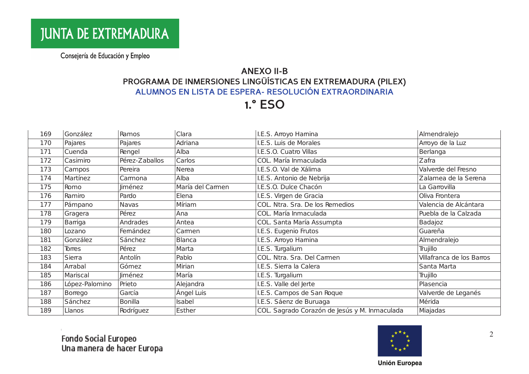## **ANEXO II-B** PROGRAMA DE INMERSIONES LINGÜÍSTICAS EN EXTREMADURA (PILEX) ALUMNOS EN LISTA DE ESPERA- RESOLUCIÓN EXTRAORDINARIA

**1.° ESO** 

| 169 | González       | Ramos          | Clara            | I.E.S. Arroyo Hamina                          | Almendralejo              |
|-----|----------------|----------------|------------------|-----------------------------------------------|---------------------------|
| 170 | Pajares        | Pajares        | Adriana          | I.E.S. Luis de Morales                        | Arroyo de la Luz          |
| 171 | Cuenda         | Rengel         | Alba             | I.E.S.O. Cuatro Villas                        | Berlanga                  |
| 172 | Casimiro       | Pérez-Zaballos | Carlos           | COL. María Inmaculada                         | Zafra                     |
| 173 | Campos         | Pereira        | Nerea            | I.E.S.O. Val de Xálima                        | Valverde del Fresno       |
| 174 | Martínez       | Camona         | Alba             | I.E.S. Antonio de Nebrija                     | Zalamea de la Serena      |
| 175 | Romo           | <b>Jiménez</b> | María del Carmen | I.E.S.O. Dulce Chacón                         | La Garrovilla             |
| 176 | Ramiro         | Pardo          | Elena            | I.E.S. Virgen de Gracia                       | Oliva Frontera            |
| 177 | Pámpano        | Navas          | Míriam           | COL. Ntra. Sra. De los Remedios               | Valencia de Alcántara     |
| 178 | Gragera        | Pérez          | Ana              | COL. María Inmaculada                         | Puebla de la Calzada      |
| 179 | Barriga        | Andrades       | Antea            | COL. Santa María Assumpta                     | Badajoz                   |
| 180 | Lozano         | Femández       | Camen            | I.E.S. Eugenio Frutos                         | Guareña                   |
| 181 | González       | Sánchez        | <b>Blanca</b>    | I.E.S. Arroyo Hamina                          | Almendralejo              |
| 182 | Torres         | Pérez          | Marta            | I.E.S. Turgalium                              | Trujillo                  |
| 183 | Sierra         | Antolín        | Pablo            | COL. Ntra. Sra. Del Carmen                    | Villafranca de los Barros |
| 184 | Arrabal        | Gómez          | Mirian           | I.E.S. Sierra la Calera                       | Santa Marta               |
| 185 | Mariscal       | Jiménez        | María            | I.E.S. Turgalium                              | Trujillo                  |
| 186 | López-Palomino | Prieto         | Alejandra        | I.E.S. Valle del Jerte                        | Plasencia                 |
| 187 | Borrego        | García         | Ángel Luis       | I.E.S. Campos de San Roque                    | Valverde de Leganés       |
| 188 | Sánchez        | <b>Bonilla</b> | Isabel           | I.E.S. Sáenz de Buruaga                       | Mérida                    |
| 189 | Llanos         | Rodríguez      | Esther           | COL. Sagrado Corazón de Jesús y M. Inmaculada | Miajadas                  |



2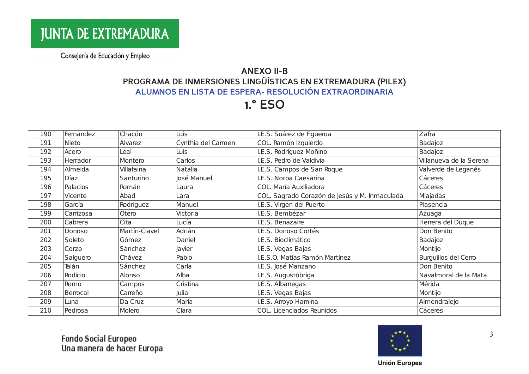# **ANEXO II-B** PROGRAMA DE INMERSIONES LINGÜÍSTICAS EN EXTREMADURA (PILEX) ALUMNOS EN LISTA DE ESPERA- RESOLUCIÓN EXTRAORDINARIA

**1.° ESO** 

| 190 | Femández  | Chacón        | Luis               | I.E.S. Suárez de Figueroa                     | Zafra                   |
|-----|-----------|---------------|--------------------|-----------------------------------------------|-------------------------|
| 191 | Nieto     | Álvarez       | Cynthia del Carmen | COL. Ramón Izquierdo                          | Badajoz                 |
| 192 | Acero     | Leal          | Luis               | I.E.S. Rodríguez Moñino                       | Badajoz                 |
| 193 | Herrador  | Montero       | Carlos             | I.E.S. Pedro de Valdivia                      | Villanueva de la Serena |
| 194 | Almeida   | Villafaina    | Natalia            | I.E.S. Campos de San Roque                    | Valverde de Leganés     |
| 195 | Díaz      | Santurino     | José Manuel        | I.E.S. Norba Caesarina                        | Cáceres                 |
| 196 | Palacios  | Román         | Laura              | COL. María Auxiliadora                        | Cáceres                 |
| 197 | Vicente   | Abad          | Lara               | COL. Sagrado Corazón de Jesús y M. Inmaculada | Miajadas                |
| 198 | García    | Rodríguez     | Manuel             | I.E.S. Virgen del Puerto                      | Plasencia               |
| 199 | Carrizosa | Otero         | Victoria           | I.E.S. Bembézar                               | Azuaga                  |
| 200 | Cabrera   | Cita          | Lucía              | I.E.S. Benazaire                              | Herrera del Duque       |
| 201 | Donoso    | Martín-Clavel | Adrián             | I.E.S. Donoso Cortés                          | Don Benito              |
| 202 | Soleto    | Gómez         | Daniel             | I.E.S. Bioclimático                           | Badajoz                 |
| 203 | Corzo     | Sánchez       | Javier             | I.E.S. Vegas Bajas                            | Montijo                 |
| 204 | Salguero  | Chávez        | Pablo              | I.E.S.O. Matías Ramón Martínez                | Burguillos del Cerro    |
| 205 | Talán     | Sánchez       | Carla              | I.E.S. José Manzano                           | Don Benito              |
| 206 | Rodicio   | Alonso        | Alba               | I.E.S. Augustóbriga                           | Navalmoral de la Mata   |
| 207 | Romo      | Campos        | Cristina           | I.E.S. Albarregas                             | Mérida                  |
| 208 | Berrocal  | Carreño       | Julia              | I.E.S. Vegas Bajas                            | Montijo                 |
| 209 | Luna      | Da Cruz       | María              | I.E.S. Arroyo Hamina                          | Almendralejo            |
| 210 | Pedrosa   | Molero        | Clara              | COL. Licenciados Reunidos                     | Cáceres                 |

Fondo Social Europeo<br>Una manera de hacer Europa



3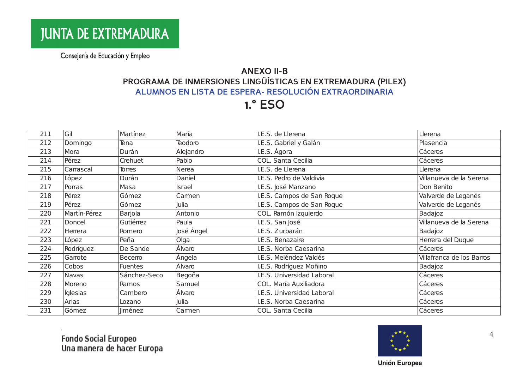# **ANEXO II-B** PROGRAMA DE INMERSIONES LINGÜÍSTICAS EN EXTREMADURA (PILEX) ALUMNOS EN LISTA DE ESPERA- RESOLUCIÓN EXTRAORDINARIA

**1.° ESO** 

| 211 | Gil          | Martínez       | María      | I.E.S. de Llerena          | Llerena                   |
|-----|--------------|----------------|------------|----------------------------|---------------------------|
| 212 | Domingo      | Tena           | Teodoro    | I.E.S. Gabriel y Galán     | Plasencia                 |
| 213 | Mora         | Durán          | Alejandro  | I.E.S. Ágora               | Cáceres                   |
| 214 | Pérez        | Crehuet        | Pablo      | COL. Santa Cecilia         | Cáceres                   |
| 215 | Carrascal    | Torres         | Nerea      | I.E.S. de Llerena          | Llerena                   |
| 216 | López        | Durán          | Daniel     | I.E.S. Pedro de Valdivia   | Villanueva de la Serena   |
| 217 | Porras       | Masa           | Israel     | I.E.S. José Manzano        | Don Benito                |
| 218 | Pérez        | Gómez          | Camen      | I.E.S. Campos de San Roque | Valverde de Leganés       |
| 219 | Pérez        | Gómez          | Julia      | I.E.S. Campos de San Roque | Valverde de Leganés       |
| 220 | Martín-Pérez | Barjola        | Antonio    | COL. Ramón Izquierdo       | Badajoz                   |
| 221 | Doncel       | Gutiérrez      | Paula      | I.E.S. San José            | Villanueva de la Serena   |
| 222 | Herrera      | Romero         | José Ángel | I.E.S. Zurbarán            | Badajoz                   |
| 223 | López        | Peña           | Olga       | I.E.S. Benazaire           | Herrera del Duque         |
| 224 | Rodríguez    | De Sande       | Álvaro     | I.E.S. Norba Caesarina     | Cáceres                   |
| 225 | Ganote       | Becerro        | Ángela     | I.E.S. Meléndez Valdés     | Villafranca de los Barros |
| 226 | Cobos        | <b>Fuentes</b> | Álvaro     | I.E.S. Rodríguez Moñino    | Badajoz                   |
| 227 | Navas        | Sánchez-Seco   | Begoña     | I.E.S. Universidad Laboral | Cáceres                   |
| 228 | Moreno       | Ramos          | Samuel     | COL. María Auxiliadora     | Cáceres                   |
| 229 | Iglesias     | Cambero        | Álvaro     | I.E.S. Universidad Laboral | Cáceres                   |
| 230 | Arias        | Lozano         | Julia      | I.E.S. Norba Caesarina     | Cáceres                   |
| 231 | Gómez        | Jiménez        | Camen      | COL. Santa Cecilia         | Cáceres                   |

Fondo Social Europeo<br>Una manera de hacer Europa



 $\overline{4}$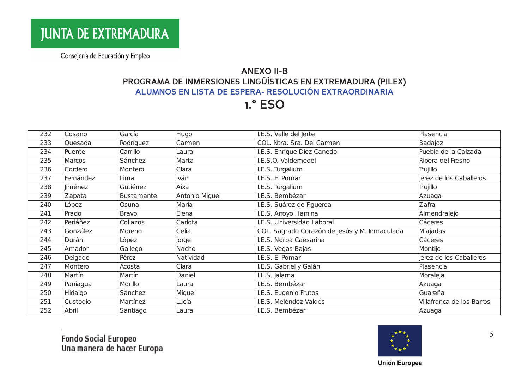## **ANEXO II-B** PROGRAMA DE INMERSIONES LINGÜÍSTICAS EN EXTREMADURA (PILEX) ALUMNOS EN LISTA DE ESPERA- RESOLUCIÓN EXTRAORDINARIA

**1.° ESO** 

| 232 | Cosano   | García            | Hugo           | I.E.S. Valle del Jerte                        | Plasencia                 |
|-----|----------|-------------------|----------------|-----------------------------------------------|---------------------------|
| 233 | Quesada  | Rodríguez         | Camen          | COL. Ntra. Sra. Del Carmen                    | Badajoz                   |
| 234 | Puente   | Carrillo          | Laura          | I.E.S. Enrique Díez Canedo                    | Puebla de la Calzada      |
| 235 | Marcos   | Sánchez           | Marta          | I.E.S.O. Valdemedel                           | Ribera del Fresno         |
| 236 | Cordero  | Montero           | Clara          | I.E.S. Turgalium                              | Trujillo                  |
| 237 | Femández | Lima              | Iván           | I.E.S. El Pomar                               | Jerez de los Caballeros   |
| 238 | liménez  | Gutiérrez         | Aixa           | I.E.S. Turgalium                              | Trujillo                  |
| 239 | Zapata   | <b>Bustamante</b> | Antonio Miguel | I.E.S. Bembézar                               | Azuaga                    |
| 240 | López    | Osuna             | María          | I.E.S. Suárez de Figueroa                     | Zafra                     |
| 241 | Prado    | <b>Bravo</b>      | Elena          | I.E.S. Arroyo Hamina                          | Almendralejo              |
| 242 | Periáñez | Collazos          | Carlota        | I.E.S. Universidad Laboral                    | Cáceres                   |
| 243 | González | Moreno            | Celia          | COL. Sagrado Corazón de Jesús y M. Inmaculada | Miajadas                  |
| 244 | Durán    | López             | Jorge          | I.E.S. Norba Caesarina                        | Cáceres                   |
| 245 | Amador   | Gallego           | Nacho          | I.E.S. Vegas Bajas                            | Montijo                   |
| 246 | Delgado  | Pérez             | Natividad      | I.E.S. El Pomar                               | Jerez de los Caballeros   |
| 247 | Montero  | Acosta            | Clara          | I.E.S. Gabriel y Galán                        | Plasencia                 |
| 248 | Martín   | Martín            | Daniel         | I.E.S. Jalama                                 | Moraleja                  |
| 249 | Paniagua | Morillo           | Laura          | I.E.S. Bembézar                               | Azuaga                    |
| 250 | Hidalgo  | Sánchez           | Miguel         | I.E.S. Eugenio Frutos                         | Guareña                   |
| 251 | Custodio | Martínez          | Lucía          | I.E.S. Meléndez Valdés                        | Villafranca de los Barros |
| 252 | Abril    | Santiago          | Laura          | I.E.S. Bembézar                               | Azuaga                    |

Fondo Social Europeo<br>Una manera de hacer Europa



5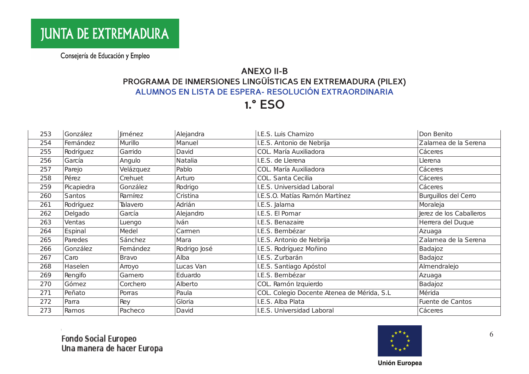# **ANEXO II-B** PROGRAMA DE INMERSIONES LINGÜÍSTICAS EN EXTREMADURA (PILEX) ALUMNOS EN LISTA DE ESPERA- RESOLUCIÓN EXTRAORDINARIA

**1.° ESO** 

| 253 | González   | Jiménez      | Alejandra    | I.E.S. Luis Chamizo                        | Don Benito              |
|-----|------------|--------------|--------------|--------------------------------------------|-------------------------|
| 254 | Femández   | Murillo      | Manuel       | I.E.S. Antonio de Nebrija                  | Zalamea de la Serena    |
| 255 | Rodríguez  | Garrido      | David        | COL. María Auxiliadora                     | Cáceres                 |
| 256 | García     | Angulo       | Natalia      | I.E.S. de Llerena                          | Llerena                 |
| 257 | Parejo     | Velázquez    | Pablo        | COL. María Auxiliadora                     | Cáceres                 |
| 258 | Pérez      | Crehuet      | Arturo       | COL. Santa Cecilia                         | Cáceres                 |
| 259 | Picapiedra | González     | Rodrigo      | I.E.S. Universidad Laboral                 | Cáceres                 |
| 260 | Santos     | Ramírez      | Cristina     | I.E.S.O. Matías Ramón Martínez             | Burguillos del Cerro    |
| 261 | Rodríguez  | Talavero     | Adrián       | I.E.S. Jalama                              | Moraleja                |
| 262 | Delgado    | García       | Alejandro    | I.E.S. El Pomar                            | Jerez de los Caballeros |
| 263 | Ventas     | Luengo       | Iván         | I.E.S. Benazaire                           | Herrera del Duque       |
| 264 | Espinal    | Medel        | Camen        | I.E.S. Bembézar                            | Azuaga                  |
| 265 | Paredes    | Sánchez      | Mara         | I.E.S. Antonio de Nebrija                  | Zalamea de la Serena    |
| 266 | González   | Femández     | Rodrigo José | I.E.S. Rodríguez Moñino                    | Badajoz                 |
| 267 | Caro       | <b>Bravo</b> | Alba         | I.E.S. Zurbarán                            | Badajoz                 |
| 268 | Haselen    | Arroyo       | Lucas Van    | I.E.S. Santiago Apóstol                    | Almendralejo            |
| 269 | Rengifo    | Gamero       | Eduardo      | I.E.S. Bembézar                            | Azuaga                  |
| 270 | Gómez      | Corchero     | Alberto      | COL. Ramón Izquierdo                       | Badajoz                 |
| 271 | Peñato     | Porras       | Paula        | COL. Colegio Docente Atenea de Mérida, S.L | Mérida                  |
| 272 | Parra      | Rey          | Gloria       | I.E.S. Alba Plata                          | Fuente de Cantos        |
| 273 | Ramos      | Pacheco      | David        | I.E.S. Universidad Laboral                 | Cáceres                 |

Fondo Social Europeo<br>Una manera de hacer Europa



6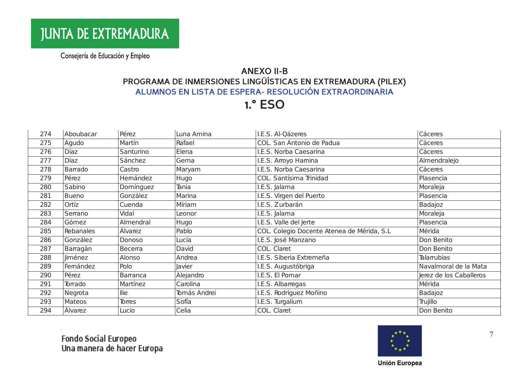# **ANEXO II-B** PROGRAMA DE INMERSIONES LINGÜÍSTICAS EN EXTREMADURA (PILEX) ALUMNOS EN LISTA DE ESPERA- RESOLUCIÓN EXTRAORDINARIA

**1.° ESO** 

| 274 | Aboubacar    | Pérez           | Luna Amina   | I.E.S. Al-Qázeres                           | Cáceres                 |
|-----|--------------|-----------------|--------------|---------------------------------------------|-------------------------|
| 275 | Agudo        | Martín          | Rafael       | COL. San Antonio de Padua                   | Cáceres                 |
| 276 | <b>Díaz</b>  | Santurino       | Elena        | I.E.S. Norba Caesarina                      | Cáceres                 |
| 277 | <b>Díaz</b>  | Sánchez         | Gema         | I.E.S. Arroyo Hamina                        | Almendralejo            |
| 278 | Barrado      | Castro          | Maryam       | I.E.S. Norba Caesarina                      | Cáceres                 |
| 279 | Pérez        | Hemández        | Hugo         | COL. Santísima Trinidad                     | Plasencia               |
| 280 | Sabino       | Domínguez       | Tania        | I.E.S. Jalama                               | Moraleja                |
| 281 | <b>Bueno</b> | González        | Marina       | I.E.S. Virgen del Puerto                    | Plasencia               |
| 282 | Ortíz        | Cuenda          | Míriam       | I.E.S. Zurbarán                             | Badajoz                 |
| 283 | Serrano      | Vidal           | Leonor       | I.E.S. Jalama                               | Moraleja                |
| 284 | Gómez        | Almendral       | Hugo         | I.E.S. Valle del Jerte                      | Plasencia               |
| 285 | Rebanales    | Álvarez         | Pablo        | COL. Colegio Docente Atenea de Mérida, S.L. | Mérida                  |
| 286 | González     | Donoso          | Lucía        | I.E.S. José Manzano                         | Don Benito              |
| 287 | Barragán     | Becerra         | David        | COL. Claret                                 | Don Benito              |
| 288 | Jiménez      | Alonso          | Andrea       | I.E.S. Siberia Extremeña                    | <b>Talarrubias</b>      |
| 289 | Femández     | Polo            | Javier       | I.E.S. Augustóbriga                         | Navalmoral de la Mata   |
| 290 | Pérez        | <b>Barranca</b> | Alejandro    | I.E.S. El Pomar                             | Jerez de los Caballeros |
| 291 | Torrado      | Martínez        | Carolina     | I.E.S. Albarregas                           | Mérida                  |
| 292 | Negrota      | llie            | Tomás Andrei | I.E.S. Rodríguez Moñino                     | Badajoz                 |
| 293 | Mateos       | Torres          | Sofía        | I.E.S. Turgalium                            | Trujillo                |
| 294 | Álvarez      | Lucio           | Celia        | COL. Claret                                 | Don Benito              |



 $\overline{7}$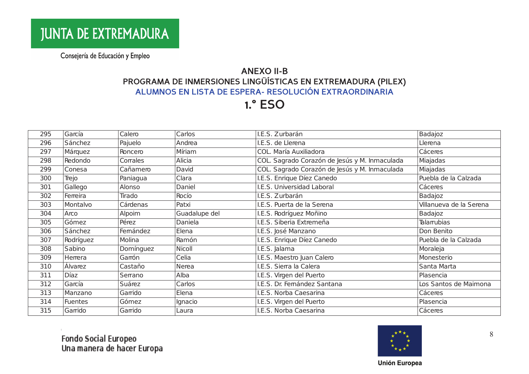# **ANEXO II-B** PROGRAMA DE INMERSIONES LINGÜÍSTICAS EN EXTREMADURA (PILEX) ALUMNOS EN LISTA DE ESPERA- RESOLUCIÓN EXTRAORDINARIA

**1.° ESO** 

| 295 | García      | Calero    | Carlos        | I.E.S. Zurbarán                               | Badajoz                 |
|-----|-------------|-----------|---------------|-----------------------------------------------|-------------------------|
| 296 | Sánchez     | Pajuelo   | Andrea        | I.E.S. de Llerena                             | Llerena                 |
| 297 | Márquez     | Roncero   | Míriam        | COL. María Auxiliadora                        | Cáceres                 |
| 298 | Redondo     | Corrales  | Alicia        | COL. Sagrado Corazón de Jesús y M. Inmaculada | Miajadas                |
| 299 | Conesa      | Cañamero  | David         | COL. Sagrado Corazón de Jesús y M. Inmaculada | Miajadas                |
| 300 | Trejo       | Paniagua  | Clara         | I.E.S. Enrique Díez Canedo                    | Puebla de la Calzada    |
| 301 | Gallego     | Alonso    | Daniel        | I.E.S. Universidad Laboral                    | Cáceres                 |
| 302 | Ferreira    | Tirado    | Rocío         | I.E.S. Zurbarán                               | Badajoz                 |
| 303 | Montalvo    | Cárdenas  | Patxi         | I.E.S. Puerta de la Serena                    | Villanueva de la Serena |
| 304 | Arco        | Alpoim    | Guadalupe del | I.E.S. Rodríguez Moñino                       | Badajoz                 |
| 305 | Gómez       | Pérez     | Daniela       | I.E.S. Siberia Extremeña                      | Talarrubias             |
| 306 | Sánchez     | Femández  | Elena         | I.E.S. José Manzano                           | Don Benito              |
| 307 | Rodríguez   | Molina    | Ramón         | I.E.S. Enrique Díez Canedo                    | Puebla de la Calzada    |
| 308 | Sabino      | Domínguez | Nicoll        | I.E.S. Jalama                                 | Moraleja                |
| 309 | Herrera     | Garrón    | Celia         | I.E.S. Maestro Juan Calero                    | Monesterio              |
| 310 | Álvarez     | Castaño   | Nerea         | I.E.S. Sierra la Calera                       | Santa Marta             |
| 311 | <b>Díaz</b> | Serrano   | Alba          | I.E.S. Virgen del Puerto                      | Plasencia               |
| 312 | García      | Suárez    | Carlos        | I.E.S. Dr. Femández Santana                   | Los Santos de Maimona   |
| 313 | Manzano     | Garrido   | Elena         | I.E.S. Norba Caesarina                        | Cáceres                 |
| 314 | Fuentes     | Gómez     | Ignacio       | I.E.S. Virgen del Puerto                      | Plasencia               |
| 315 | Garrido     | Garrido   | Laura         | I.E.S. Norba Caesarina                        | Cáceres                 |

Fondo Social Europeo<br>Una manera de hacer Europa



8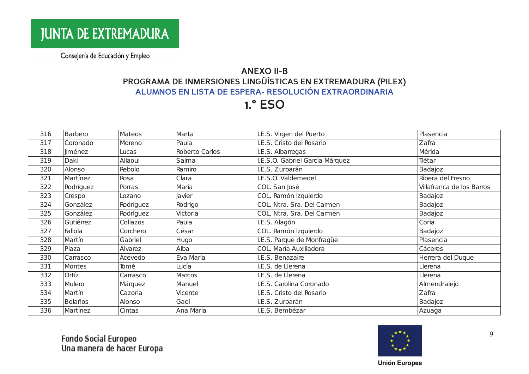## **ANEXO II-B** PROGRAMA DE INMERSIONES LINGÜÍSTICAS EN EXTREMADURA (PILEX) ALUMNOS EN LISTA DE ESPERA- RESOLUCIÓN EXTRAORDINARIA

**1.° ESO** 

| 316 | Barbero   | Mateos    | Marta          | I.E.S. Virgen del Puerto        | Plasencia                 |
|-----|-----------|-----------|----------------|---------------------------------|---------------------------|
| 317 | Coronado  | Moreno    | Paula          | I.E.S. Cristo del Rosario       | Zafra                     |
| 318 | liménez   | Lucas     | Roberto Carlos | I.E.S. Albarregas               | Mérida                    |
| 319 | Daki      | Allaoui   | Salma          | I.E.S.O. Gabriel García Márquez | Tiétar                    |
| 320 | Alonso    | Rebolo    | Ramiro         | I.E.S. Zurbarán                 | Badajoz                   |
| 321 | Martínez  | Rosa      | Clara          | I.E.S.O. Valdemedel             | Ribera del Fresno         |
| 322 | Rodríguez | Porras    | María          | COL. San José                   | Villafranca de los Barros |
| 323 | Crespo    | Lozano    | <b>Javier</b>  | COL. Ramón Izquierdo            | Badajoz                   |
| 324 | González  | Rodríguez | Rodrigo        | COL. Ntra. Sra. Del Carmen      | Badajoz                   |
| 325 | González  | Rodríguez | Victoria       | COL. Ntra. Sra. Del Carmen      | Badajoz                   |
| 326 | Gutiémez  | Collazos  | Paula          | I.E.S. Alagón                   | Coria                     |
| 327 | Fallola   | Corchero  | César          | COL. Ramón Izquierdo            | Badajoz                   |
| 328 | Martín    | Gabriel   | Hugo           | I.E.S. Parque de Monfragüe      | Plasencia                 |
| 329 | Plaza     | Álvarez   | Alba           | COL. María Auxiliadora          | Cáceres                   |
| 330 | Carrasco  | Acevedo   | Eva María      | I.E.S. Benazaire                | Herrera del Duque         |
| 331 | Montes    | Tomé      | Lucía          | I.E.S. de Llerena               | Llerena                   |
| 332 | Ortíz     | Carrasco  | Marcos         | I.E.S. de Llerena               | Llerena                   |
| 333 | Mulero    | Márquez   | Manuel         | I.E.S. Carolina Coronado        | Almendralejo              |
| 334 | Martín    | Cazorla   | Vicente        | I.E.S. Cristo del Rosario       | Zafra                     |
| 335 | Bolaños   | Alonso    | Gael           | I.E.S. Zurbarán                 | Badajoz                   |
| 336 | Martínez  | Cintas    | Ana María      | I.E.S. Bembézar                 | Azuaga                    |

Fondo Social Europeo<br>Una manera de hacer Europa



9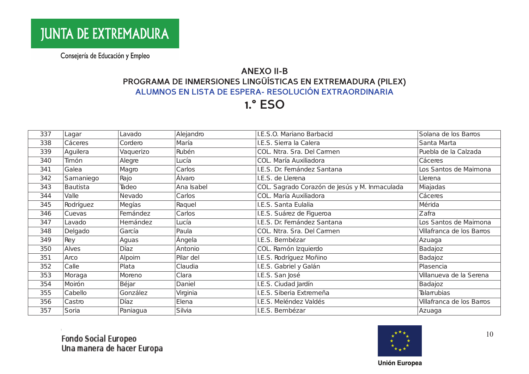# **ANEXO II-B** PROGRAMA DE INMERSIONES LINGÜÍSTICAS EN EXTREMADURA (PILEX) ALUMNOS EN LISTA DE ESPERA- RESOLUCIÓN EXTRAORDINARIA

**1.° ESO** 

| 337 | Lagar           | Lavado    | Alejandro  | I.E.S.O. Mariano Barbacid                     | Solana de los Barros      |
|-----|-----------------|-----------|------------|-----------------------------------------------|---------------------------|
| 338 | Cáceres         | Cordero   | María      | I.E.S. Sierra la Calera                       | Santa Marta               |
| 339 | Aguilera        | Vaquerizo | Rubén      | COL. Ntra. Sra. Del Carmen                    | Puebla de la Calzada      |
| 340 | Timón           | Alegre    | Lucía      | COL. María Auxiliadora                        | Cáceres                   |
| 341 | Galea           | Magro     | Carlos     | I.E.S. Dr. Femández Santana                   | Los Santos de Maimona     |
| 342 | Samaniego       | Rajo      | Álvaro     | I.E.S. de Llerena                             | Llerena                   |
| 343 | <b>Bautista</b> | Tadeo     | Ana Isabel | COL. Sagrado Corazón de Jesús y M. Inmaculada | Miajadas                  |
| 344 | Valle           | Nevado    | Carlos     | COL. María Auxiliadora                        | Cáceres                   |
| 345 | Rodríguez       | Megías    | Raquel     | I.E.S. Santa Eulalia                          | Mérida                    |
| 346 | Cuevas          | Femández  | Carlos     | I.E.S. Suárez de Figueroa                     | Zafra                     |
| 347 | Lavado          | Hemández  | Lucía      | I.E.S. Dr. Femández Santana                   | Los Santos de Maimona     |
| 348 | Delgado         | García    | Paula      | COL. Ntra. Sra. Del Carmen                    | Villafranca de los Barros |
| 349 | Rey             | Aguas     | Ángela     | I.E.S. Bembézar                               | Azuaga                    |
| 350 | Alves           | Díaz      | Antonio    | COL. Ramón Izquierdo                          | Badajoz                   |
| 351 | Arco            | Alpoim    | Pilar del  | I.E.S. Rodríguez Moñino                       | Badajoz                   |
| 352 | Calle           | Plata     | Claudia    | I.E.S. Gabriel y Galán                        | Plasencia                 |
| 353 | Moraga          | Moreno    | Clara      | I.E.S. San José                               | Villanueva de la Serena   |
| 354 | Moirón          | Béjar     | Daniel     | I.E.S. Ciudad Jardín                          | Badajoz                   |
| 355 | Cabello         | González  | Virginia   | I.E.S. Siberia Extremeña                      | <b>Talarrubias</b>        |
| 356 | Castro          | Díaz      | Elena      | I.E.S. Meléndez Valdés                        | Villafranca de los Barros |
| 357 | Soria           | Paniagua  | Silvia     | I.E.S. Bembézar                               | Azuaga                    |

Fondo Social Europeo<br>Una manera de hacer Europa



 $10$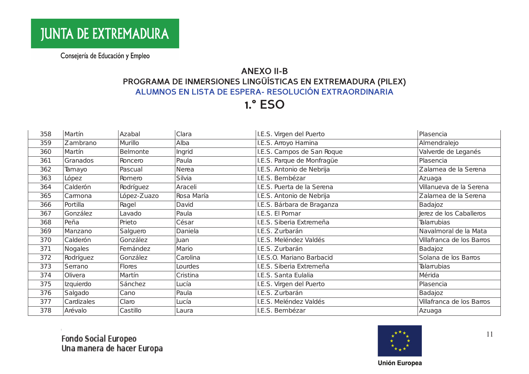# **ANEXO II-B** PROGRAMA DE INMERSIONES LINGÜÍSTICAS EN EXTREMADURA (PILEX) ALUMNOS EN LISTA DE ESPERA- RESOLUCIÓN EXTRAORDINARIA

**1.° ESO** 

| 358 | Martín         | Azabal          | Clara      | I.E.S. Virgen del Puerto   | Plasencia                 |
|-----|----------------|-----------------|------------|----------------------------|---------------------------|
| 359 | Zambrano       | Murillo         | Alba       | I.E.S. Arroyo Hamina       | Almendralejo              |
| 360 | Martín         | <b>Belmonte</b> | Ingrid     | I.E.S. Campos de San Roque | Valverde de Leganés       |
| 361 | Granados       | Roncero         | Paula      | I.E.S. Parque de Monfragüe | Plasencia                 |
| 362 | Tamayo         | Pascual         | Nerea      | I.E.S. Antonio de Nebrija  | Zalamea de la Serena      |
| 363 | López          | Romero          | Silvia     | I.E.S. Bembézar            | Azuaga                    |
| 364 | Calderón       | Rodríguez       | Araceli    | I.E.S. Puerta de la Serena | Villanueva de la Serena   |
| 365 | Camona         | López-Zuazo     | Rosa María | I.E.S. Antonio de Nebrija  | Zalamea de la Serena      |
| 366 | Portilla       | Ragel           | David      | I.E.S. Bárbara de Braganza | Badajoz                   |
| 367 | González       | Lavado          | Paula      | I.E.S. El Pomar            | Jerez de los Caballeros   |
| 368 | Peña           | Prieto          | César      | I.E.S. Siberia Extremeña   | Talarrubias               |
| 369 | Manzano        | Salguero        | Daniela    | I.E.S. Zurbarán            | Navalmoral de la Mata     |
| 370 | Calderón       | González        | Juan       | I.E.S. Meléndez Valdés     | Villafranca de los Barros |
| 371 | <b>Nogales</b> | Femández        | Mario      | I.E.S. Zurbarán            | Badajoz                   |
| 372 | Rodríguez      | González        | Carolina   | I.E.S.O. Mariano Barbacid  | Solana de los Barros      |
| 373 | Serrano        | <b>Flores</b>   | Lourdes    | I.E.S. Siberia Extremeña   | Talarrubias               |
| 374 | Olivera        | Martín          | Cristina   | I.E.S. Santa Eulalia       | Mérida                    |
| 375 | Izquierdo      | Sánchez         | Lucía      | I.E.S. Virgen del Puerto   | Plasencia                 |
| 376 | Salgado        | Cano            | Paula      | I.E.S. Zurbarán            | Badajoz                   |
| 377 | Cardizales     | Claro           | Lucía      | I.E.S. Meléndez Valdés     | Villafranca de los Barros |
| 378 | Arévalo        | Castillo        | Laura      | I.E.S. Bembézar            | Azuaga                    |

Fondo Social Europeo<br>Una manera de hacer Europa



 $11$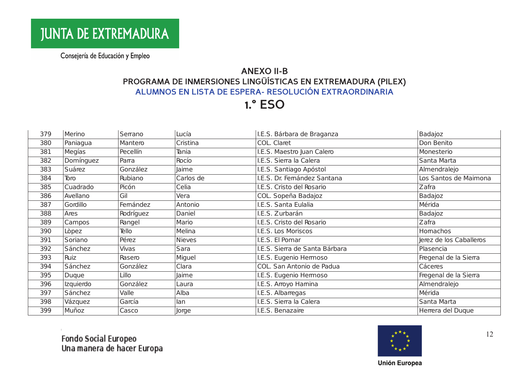# **ANEXO II-B** PROGRAMA DE INMERSIONES LINGÜÍSTICAS EN EXTREMADURA (PILEX) ALUMNOS EN LISTA DE ESPERA- RESOLUCIÓN EXTRAORDINARIA

**1.° ESO** 

| 379 | Merino    | Serrano   | Lucía         | I.E.S. Bárbara de Braganza     | Badajoz                 |
|-----|-----------|-----------|---------------|--------------------------------|-------------------------|
| 380 | Paniagua  | Mantero   | Cristina      | COL. Claret                    | Don Benito              |
| 381 | Megías    | Pecellín  | Tania         | I.E.S. Maestro Juan Calero     | Monesterio              |
| 382 | Domínguez | Parra     | Rocío         | I.E.S. Sierra la Calera        | Santa Marta             |
| 383 | Suárez    | González  | Jaime         | I.E.S. Santiago Apóstol        | Almendralejo            |
| 384 | Toro      | Rubiano   | Carlos de     | I.E.S. Dr. Femández Santana    | Los Santos de Maimona   |
| 385 | Cuadrado  | Picón     | Celia         | I.E.S. Cristo del Rosario      | Zafra                   |
| 386 | Avellano  | Gil       | Vera          | COL. Sopeña Badajoz            | Badajoz                 |
| 387 | Gordillo  | Femández  | Antonio       | I.E.S. Santa Eulalia           | Mérida                  |
| 388 | Ares      | Rodríguez | Daniel        | I.E.S. Zurbarán                | Badajoz                 |
| 389 | Campos    | Rangel    | Mario         | I.E.S. Cristo del Rosario      | Zafra                   |
| 390 | Lòpez     | Tello     | Melina        | I.E.S. Los Moriscos            | Homachos                |
| 391 | Soriano   | Pérez     | <b>Nieves</b> | I.E.S. El Pomar                | Jerez de los Caballeros |
| 392 | Sánchez   | Vivas     | Sara          | I.E.S. Sierra de Santa Bárbara | Plasencia               |
| 393 | Ruiz      | Rasero    | Miguel        | I.E.S. Eugenio Hermoso         | Fregenal de la Sierra   |
| 394 | Sánchez   | González  | Clara         | COL. San Antonio de Padua      | Cáceres                 |
| 395 | Duque     | Lillo     | Jaime         | I.E.S. Eugenio Hermoso         | Fregenal de la Sierra   |
| 396 | Izquierdo | González  | Laura         | I.E.S. Arroyo Hamina           | Almendralejo            |
| 397 | Sánchez   | Valle     | Alba          | I.E.S. Albarregas              | Mérida                  |
| 398 | Vázquez   | García    | lan           | I.E.S. Sierra la Calera        | Santa Marta             |
| 399 | Muñoz     | Casco     | Jorge         | I.E.S. Benazaire               | Herrera del Duque       |



12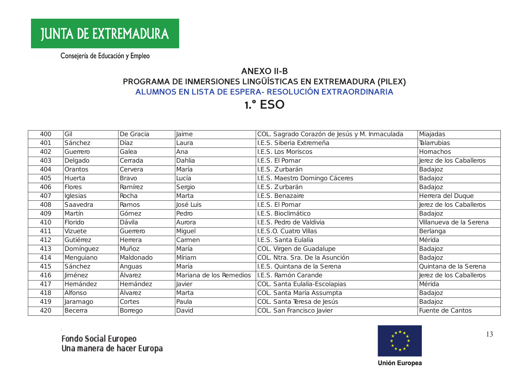# **ANEXO II-B** PROGRAMA DE INMERSIONES LINGÜÍSTICAS EN EXTREMADURA (PILEX) ALUMNOS EN LISTA DE ESPERA- RESOLUCIÓN EXTRAORDINARIA

**1.° ESO** 

| 400 | Gil            | De Gracia    | Jaime                   | COL. Sagrado Corazón de Jesús y M. Inmaculada | Miajadas                |
|-----|----------------|--------------|-------------------------|-----------------------------------------------|-------------------------|
| 401 | Sánchez        | Díaz         | Laura                   | I.E.S. Siberia Extremeña                      | <b>Talarrubias</b>      |
| 402 | Guerrero       | Galea        | Ana                     | I.E.S. Los Moriscos                           | Homachos                |
| 403 | Delgado        | Cerrada      | Dahlia                  | I.E.S. El Pomar                               | Jerez de los Caballeros |
| 404 | <b>Orantos</b> | Cervera      | María                   | I.E.S. Zurbarán                               | Badajoz                 |
| 405 | Huerta         | <b>Bravo</b> | Lucía                   | I.E.S. Maestro Domingo Cáceres                | Badajoz                 |
| 406 | Flores         | Ramírez      | Sergio                  | I.E.S. Zurbarán                               | Badajoz                 |
| 407 | Iglesias       | Rocha        | Marta                   | I.E.S. Benazaire                              | Herrera del Duque       |
| 408 | Saavedra       | Ramos        | José Luis               | I.E.S. El Pomar                               | Jerez de los Caballeros |
| 409 | Martín         | Gómez        | Pedro                   | I.E.S. Bioclimático                           | Badajoz                 |
| 410 | Florido        | Dávila       | Aurora                  | I.E.S. Pedro de Valdivia                      | Villanueva de la Serena |
| 411 | Vizuete        | Guerrero     | Miguel                  | I.E.S.O. Cuatro Villas                        | Berlanga                |
| 412 | Gutiémez       | Herrera      | Camen                   | I.E.S. Santa Eulalia                          | Mérida                  |
| 413 | Domínguez      | Muñoz        | María                   | COL. Virgen de Guadalupe                      | Badajoz                 |
| 414 | Menguiano      | Maldonado    | Míriam                  | COL. Ntra. Sra. De la Asunción                | Badajoz                 |
| 415 | Sánchez        | Anguas       | María                   | I.E.S. Quintana de la Serena                  | Quintana de la Serena   |
| 416 | <b>Jiménez</b> | Álvarez      | Mariana de los Remedios | I.E.S. Ramón Carande                          | Jerez de los Caballeros |
| 417 | Hemández       | Hemández     | Javier                  | COL. Santa Eulalia-Escolapias                 | Mérida                  |
| 418 | Alfonso        | Álvarez      | Marta                   | COL. Santa María Assumpta                     | Badajoz                 |
| 419 | Jaramago       | Cortes       | Paula                   | COL. Santa Teresa de Jesús                    | Badajoz                 |
| 420 | Becerra        | Borrego      | David                   | COL. San Francisco Javier                     | Fuente de Cantos        |

Fondo Social Europeo<br>Una manera de hacer Europa



13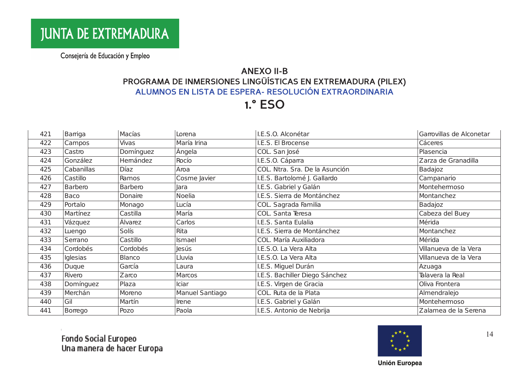## **ANEXO II-B** PROGRAMA DE INMERSIONES LINGÜÍSTICAS EN EXTREMADURA (PILEX) ALUMNOS EN LISTA DE ESPERA- RESOLUCIÓN EXTRAORDINARIA

**1.° ESO** 

| 421 | Barriga    | Macías       | Lorena          | I.E.S.O. Alconétar             | Garrovillas de Alconetar |
|-----|------------|--------------|-----------------|--------------------------------|--------------------------|
| 422 | Campos     | <b>Vivas</b> | María Irina     | I.E.S. El Brocense             | Cáceres                  |
| 423 | Castro     | Domínguez    | Ángela          | COL. San José                  | Plasencia                |
| 424 | González   | Hemández     | Rocío           | I.E.S.O. Cáparra               | Zarza de Granadilla      |
| 425 | Cabanillas | Díaz         | Aroa            | COL. Ntra. Sra. De la Asunción | Badajoz                  |
| 426 | Castillo   | Ramos        | Cosme Javier    | I.E.S. Bartolomé J. Gallardo   | Campanario               |
| 427 | Barbero    | Barbero      | Jara            | I.E.S. Gabriel y Galán         | Montehemoso              |
| 428 | Baco       | Donaire      | Noelia          | I.E.S. Sierra de Montánchez    | Montanchez               |
| 429 | Portalo    | Monago       | Lucía           | COL. Sagrada Familia           | Badajoz                  |
| 430 | Martínez   | Castilla     | María           | COL. Santa Teresa              | Cabeza del Buey          |
| 431 | Vázquez    | Álvarez      | Carlos          | I.E.S. Santa Eulalia           | Mérida                   |
| 432 | Luengo     | Solís        | Rita            | I.E.S. Sierra de Montánchez    | Montanchez               |
| 433 | Serrano    | Castillo     | Ismael          | COL. María Auxiliadora         | Mérida                   |
| 434 | Cordobés   | Cordobés     | Jesús           | I.E.S.O. La Vera Alta          | Villanueva de la Vera    |
| 435 | Iglesias   | Blanco       | Lluvia          | I.E.S.O. La Vera Alta          | Villanueva de la Vera    |
| 436 | Duque      | García       | Laura           | I.E.S. Miguel Durán            | Azuaga                   |
| 437 | Rivero     | Zarco        | Marcos          | I.E.S. Bachiller Diego Sánchez | Talavera la Real         |
| 438 | Domínguez  | Plaza        | <b>Iciar</b>    | I.E.S. Virgen de Gracia        | Oliva Frontera           |
| 439 | Merchán    | Moreno       | Manuel Santiago | COL. Ruta de la Plata          | Almendralejo             |
| 440 | Gil        | Martín       | Irene           | I.E.S. Gabriel y Galán         | Montehermoso             |
| 441 | Borrego    | Pozo         | Paola           | I.E.S. Antonio de Nebrija      | Zalamea de la Serena     |





 $14$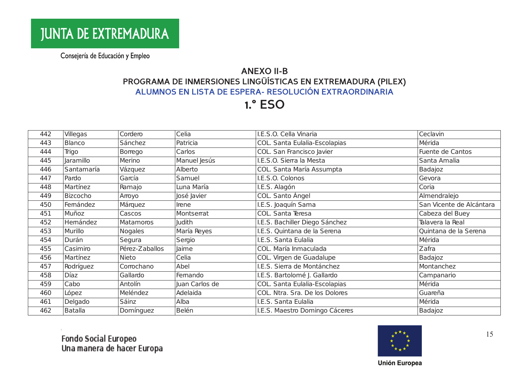# **ANEXO II-B** PROGRAMA DE INMERSIONES LINGÜÍSTICAS EN EXTREMADURA (PILEX) ALUMNOS EN LISTA DE ESPERA- RESOLUCIÓN EXTRAORDINARIA

**1.° ESO** 

| 442 | Villegas       | Cordero          | Celia          | I.E.S.O. Cella Vinaria         | Ceclavin                 |
|-----|----------------|------------------|----------------|--------------------------------|--------------------------|
| 443 | <b>Blanco</b>  | Sánchez          | Patricia       | COL. Santa Eulalia-Escolapias  | Mérida                   |
| 444 | Trigo          | Borrego          | Carlos         | COL. San Francisco Javier      | Fuente de Cantos         |
| 445 | Jaramillo      | Merino           | Manuel Jesús   | I.E.S.O. Sierra la Mesta       | Santa Amalia             |
| 446 | Santamaría     | Vázquez          | Alberto        | COL. Santa María Assumpta      | Badajoz                  |
| 447 | Pardo          | García           | Samuel         | I.E.S.O. Colonos               | Gevora                   |
| 448 | Martínez       | Ramajo           | Luna María     | I.E.S. Alagón                  | Coria                    |
| 449 | Bizcocho       | Arroyo           | José Javier    | COL. Santo Ángel               | Almendralejo             |
| 450 | Femández       | Márquez          | Irene          | I.E.S. Joaquín Sama            | San Vicente de Alcántara |
| 451 | Muñoz          | Cascos           | Montserrat     | COL. Santa Teresa              | Cabeza del Buey          |
| 452 | Hemández       | <b>Matamoros</b> | Judith         | I.E.S. Bachiller Diego Sánchez | Talavera la Real         |
| 453 | Murillo        | <b>Nogales</b>   | María Reyes    | I.E.S. Quintana de la Serena   | Quintana de la Serena    |
| 454 | Durán          | Segura           | Sergio         | I.E.S. Santa Eulalia           | Mérida                   |
| 455 | Casimiro       | Pérez-Zaballos   | Jaime          | COL. María Inmaculada          | Zafra                    |
| 456 | Martínez       | Nieto            | Celia          | COL. Virgen de Guadalupe       | Badajoz                  |
| 457 | Rodríguez      | Corrochano       | Abel           | I.E.S. Sierra de Montánchez    | Montanchez               |
| 458 | <b>Díaz</b>    | Gallardo         | Femando        | I.E.S. Bartolomé J. Gallardo   | Campanario               |
| 459 | Cabo           | Antolín          | Juan Carlos de | COL. Santa Eulalia-Escolapias  | Mérida                   |
| 460 | López          | Meléndez         | Adelaida       | COL. Ntra. Sra. De los Dolores | Guareña                  |
| 461 | Delgado        | Sáinz            | Alba           | I.E.S. Santa Eulalia           | Mérida                   |
| 462 | <b>Batalla</b> | Domínguez        | Belén          | I.E.S. Maestro Domingo Cáceres | Badajoz                  |

Fondo Social Europeo<br>Una manera de hacer Europa



15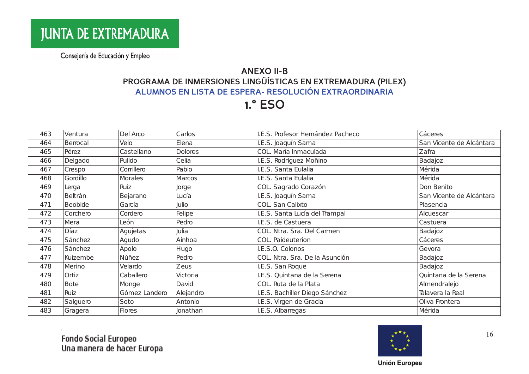# **ANEXO II-B** PROGRAMA DE INMERSIONES LINGÜÍSTICAS EN EXTREMADURA (PILEX) ALUMNOS EN LISTA DE ESPERA- RESOLUCIÓN EXTRAORDINARIA

**1.° ESO** 

| 463 | Ventura        | Del Arco      | Carlos         | I.E.S. Profesor Hemández Pacheco | Cáceres                  |
|-----|----------------|---------------|----------------|----------------------------------|--------------------------|
| 464 | Berrocal       | Velo          | Elena          | I.E.S. Joaquín Sama              | San Vicente de Alcántara |
| 465 | Pérez          | Castellano    | <b>Dolores</b> | COL. María Inmaculada            | Zafra                    |
| 466 | Delgado        | Pulido        | Celia          | I.E.S. Rodríguez Moñino          | Badajoz                  |
| 467 | Crespo         | Corrillero    | Pablo          | I.E.S. Santa Eulalia             | Mérida                   |
| 468 | Gordillo       | Morales       | Marcos         | I.E.S. Santa Eulalia             | Mérida                   |
| 469 | Lerga          | Ruiz          | Jorge          | COL. Sagrado Corazón             | Don Benito               |
| 470 | Beltrán        | Bejarano      | Lucía          | I.E.S. Joaquín Sama              | San Vicente de Alcántara |
| 471 | <b>Beobide</b> | García        | Julio          | COL. San Calixto                 | Plasencia                |
| 472 | Corchero       | Cordero       | Felipe         | I.E.S. Santa Lucía del Trampal   | Alcuescar                |
| 473 | Mera           | León          | Pedro          | I.E.S. de Castuera               | Castuera                 |
| 474 | Díaz           | Agujetas      | Julia          | COL. Ntra. Sra. Del Carmen       | Badajoz                  |
| 475 | Sánchez        | Agudo         | Ainhoa         | COL. Paideuterion                | Cáceres                  |
| 476 | Sánchez        | Apolo         | Hugo           | I.E.S.O. Colonos                 | Gevora                   |
| 477 | Kuizembe       | Núñez         | Pedro          | COL. Ntra. Sra. De la Asunción   | Badajoz                  |
| 478 | Merino         | Velardo       | Zeus           | I.E.S. San Roque                 | Badajoz                  |
| 479 | Ortiz          | Caballero     | Victoria       | I.E.S. Quintana de la Serena     | Quintana de la Serena    |
| 480 | <b>Bote</b>    | Monge         | David          | COL. Ruta de la Plata            | Almendralejo             |
| 481 | Ruiz           | Gómez Landero | Alejandro      | I.E.S. Bachiller Diego Sánchez   | Talavera la Real         |
| 482 | Salguero       | Soto          | Antonio        | I.E.S. Virgen de Gracia          | Oliva Frontera           |
| 483 | Gragera        | Flores        | Jonathan       | I.E.S. Albarregas                | Mérida                   |

Fondo Social Europeo<br>Una manera de hacer Europa



16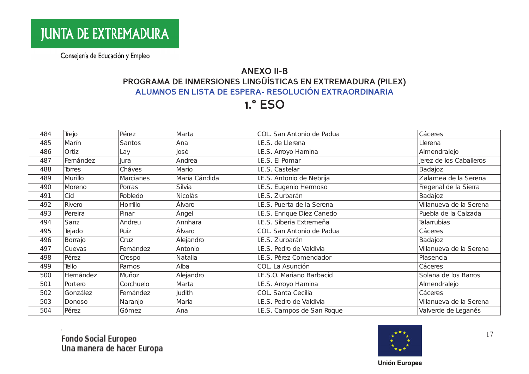# **ANEXO II-B** PROGRAMA DE INMERSIONES LINGÜÍSTICAS EN EXTREMADURA (PILEX) ALUMNOS EN LISTA DE ESPERA- RESOLUCIÓN EXTRAORDINARIA

**1.° ESO** 

| 484 | Trejo          | Pérez         | Marta         | COL. San Antonio de Padua  | Cáceres                 |
|-----|----------------|---------------|---------------|----------------------------|-------------------------|
| 485 | Marín          | <b>Santos</b> | Ana           | I.E.S. de Llerena          | Llerena                 |
| 486 | Ortiz          | Lay           | José          | I.E.S. Arroyo Hamina       | Almendralejo            |
| 487 | Femández       | Jura          | Andrea        | I.E.S. El Pomar            | Jerez de los Caballeros |
| 488 | Torres         | Cháves        | Mario         | I.E.S. Castelar            | Badajoz                 |
| 489 | Murillo        | Marcianes     | María Cándida | I.E.S. Antonio de Nebrija  | Zalamea de la Serena    |
| 490 | Moreno         | Porras        | Silvia        | I.E.S. Eugenio Hermoso     | Fregenal de la Sierra   |
| 491 | Cid            | Robledo       | Nicolás       | I.E.S. Zurbarán            | Badajoz                 |
| 492 | Rivero         | Horrillo      | Álvaro        | I.E.S. Puerta de la Serena | Villanueva de la Serena |
| 493 | Pereira        | Pinar         | Ángel         | I.E.S. Enrique Díez Canedo | Puebla de la Calzada    |
| 494 | Sanz           | Andreu        | Annhara       | I.E.S. Siberia Extremeña   | Talarrubias             |
| 495 | Tejado         | Ruiz          | Álvaro        | COL. San Antonio de Padua  | Cáceres                 |
| 496 | <b>Borrajo</b> | Cruz          | Alejandro     | I.E.S. Zurbarán            | Badajoz                 |
| 497 | Cuevas         | Femández      | Antonio       | I.E.S. Pedro de Valdivia   | Villanueva de la Serena |
| 498 | Pérez          | Crespo        | Natalia       | I.E.S. Pérez Comendador    | Plasencia               |
| 499 | Tello          | Ramos         | Alba          | COL. La Asunción           | Cáceres                 |
| 500 | Hemández       | Muñoz         | Alejandro     | I.E.S.O. Mariano Barbacid  | Solana de los Barros    |
| 501 | Portero        | Corchuelo     | Marta         | I.E.S. Arroyo Hamina       | Almendralejo            |
| 502 | González       | Femández      | <b>Judith</b> | COL. Santa Cecilia         | Cáceres                 |
| 503 | Donoso         | Naranjo       | María         | I.E.S. Pedro de Valdivia   | Villanueva de la Serena |
| 504 | Pérez          | Gómez         | Ana           | I.E.S. Campos de San Roque | Valverde de Leganés     |



 $17$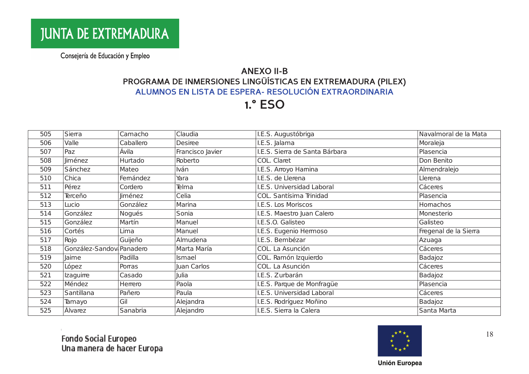## **ANEXO II-B** PROGRAMA DE INMERSIONES LINGÜÍSTICAS EN EXTREMADURA (PILEX) ALUMNOS EN LISTA DE ESPERA- RESOLUCIÓN EXTRAORDINARIA

**1.° ESO** 

| 505 | Sierra                    | Camacho   | Claudia          | I.E.S. Augustóbriga            | Navalmoral de la Mata |
|-----|---------------------------|-----------|------------------|--------------------------------|-----------------------|
| 506 | Valle                     | Caballero | <b>Desiree</b>   | I.E.S. Jalama                  | Moraleja              |
| 507 | Paz                       | Ávila     | Francisco Javier | I.E.S. Sierra de Santa Bárbara | Plasencia             |
| 508 | Jiménez                   | Hurtado   | Roberto          | COL. Claret                    | Don Benito            |
| 509 | Sánchez                   | Mateo     | Iván             | I.E.S. Arroyo Hamina           | Almendralejo          |
| 510 | Chica                     | Femández  | Yara             | I.E.S. de Llerena              | Llerena               |
| 511 | Pérez                     | Cordero   | Telma            | I.E.S. Universidad Laboral     | Cáceres               |
| 512 | Terceño                   | Jiménez   | Celia            | COL. Santísima Trinidad        | Plasencia             |
| 513 | Lucio                     | González  | Marina           | I.E.S. Los Moriscos            | Homachos              |
| 514 | González                  | Nogués    | Sonia            | I.E.S. Maestro Juan Calero     | Monesterio            |
| 515 | González                  | Martín    | Manuel           | I.E.S.O. Galisteo              | Galisteo              |
| 516 | Cortés                    | Lima      | Manuel           | I.E.S. Eugenio Hermoso         | Fregenal de la Sierra |
| 517 | Rojo                      | Guijeño   | Almudena         | I.E.S. Bembézar                | Azuaga                |
| 518 | González-Sandovi Panadero |           | Marta María      | COL. La Asunción               | Cáceres               |
| 519 | Jaime                     | Padilla   | Ismael           | COL. Ramón Izquierdo           | Badajoz               |
| 520 | López                     | Porras    | Juan Carlos      | COL. La Asunción               | Cáceres               |
| 521 | Izaguirre                 | Casado    | Julia            | I.E.S. Zurbarán                | Badajoz               |
| 522 | Méndez                    | Herrero   | Paola            | I.E.S. Parque de Monfragüe     | Plasencia             |
| 523 | Santillana                | Pañero    | Paula            | I.E.S. Universidad Laboral     | Cáceres               |
| 524 | Tamayo                    | Gil       | Alejandra        | I.E.S. Rodríguez Moñino        | Badajoz               |
| 525 | Álvarez                   | Sanabria  | Alejandro        | I.E.S. Sierra la Calera        | Santa Marta           |

Fondo Social Europeo<br>Una manera de hacer Europa



18